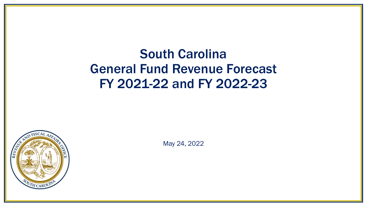# South Carolina General Fund Revenue Forecast FY 2021-22 and FY 2022-23



May 24, 2022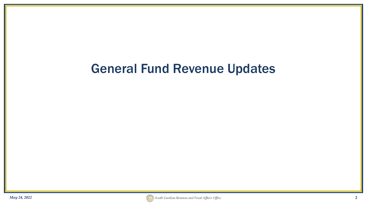# General Fund Revenue Updates

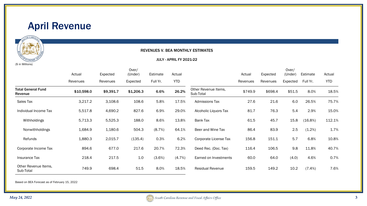



#### REVENUES V. BEA MONTHLY ESTIMATES

#### JULY - APRIL FY 2021-22

|                                      | Over/      |           |           |           |            | Over/                             |          |          |          |           |            |
|--------------------------------------|------------|-----------|-----------|-----------|------------|-----------------------------------|----------|----------|----------|-----------|------------|
|                                      | Actual     | Expected  | (Under)   | Estimate  | Actual     |                                   | Actual   | Expected | (Under)  | Estimate  | Actual     |
|                                      | Revenues   | Revenues  | Expected  | Full Yr.  | <b>YTD</b> |                                   | Revenues | Revenues | Expected | Full Yr.  | <b>YTD</b> |
| <b>Total General Fund</b><br>Revenue | \$10,598.0 | \$9,391.7 | \$1,206.3 | 6.6%      | 26.2%      | Other Revenue Items,<br>Sub-Total | \$749.9  | \$698.4  | \$51.5   | 8.0%      | 18.5%      |
| Sales Tax                            | 3,217.2    | 3,108.6   | 108.6     | 5.8%      | 17.5%      | <b>Admissions Tax</b>             | 27.6     | 21.6     | 6.0      | 26.5%     | 75.7%      |
| Individual Income Tax                | 5,517.8    | 4,690.2   | 827.6     | 6.9%      | 29.0%      | Alcoholic Liquors Tax             | 81.7     | 76.3     | 5.4      | 2.9%      | 15.0%      |
| Withholdings                         | 5,713.3    | 5,525.3   | 188.0     | 8.6%      | 13.8%      | Bank Tax                          | 61.5     | 45.7     | 15.8     | (16.8%)   | 112.1%     |
| Nonwithholdings                      | 1,684.9    | 1,180.6   | 504.3     | $(8.7\%)$ | 64.1%      | Beer and Wine Tax                 | 86.4     | 83.9     | 2.5      | (1.2%)    | 1.7%       |
| Refunds                              | 1,880.3    | 2,015.7   | (135.4)   | 0.3%      | 6.2%       | Corporate License Tax             | 156.8    | 151.1    | 5.7      | 6.8%      | 10.8%      |
| Corporate Income Tax                 | 894.6      | 677.0     | 217.6     | 20.7%     | 72.3%      | Deed Rec. (Doc. Tax)              | 116.4    | 106.5    | 9.8      | 11.8%     | 40.7%      |
| Insurance Tax                        | 218.4      | 217.5     | 1.0       | $(3.6\%)$ | $(4.7\%)$  | Earned on Investments             | 60.0     | 64.0     | (4.0)    | 4.6%      | 0.7%       |
| Other Revenue Items.<br>Sub-Total    | 749.9      | 698.4     | 51.5      | 8.0%      | 18.5%      | Residual Revenue                  | 159.5    | 149.2    | 10.2     | $(7.4\%)$ | 7.6%       |

Based on BEA Forecast as of February 15, 2022

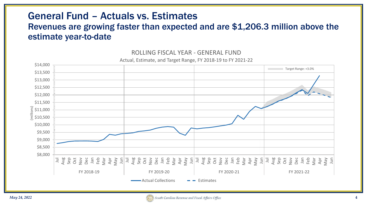## General Fund – Actuals vs. Estimates

#### Revenues are growing faster than expected and are \$1,206.3 million above the estimate year-to-date



#### ROLLING FISCAL YEAR - GENERAL FUND

Actual, Estimate, and Target Range, FY 2018-19 to FY 2021-22

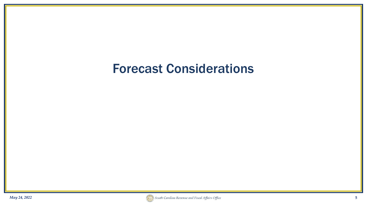# Forecast Considerations

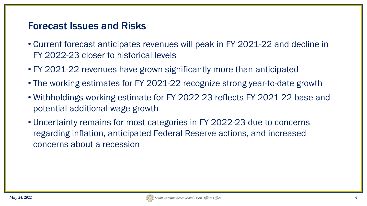#### Forecast Issues and Risks

- Current forecast anticipates revenues will peak in FY 2021-22 and decline in FY 2022-23 closer to historical levels
- FY 2021-22 revenues have grown significantly more than anticipated
- The working estimates for FY 2021-22 recognize strong year-to-date growth
- Withholdings working estimate for FY 2022-23 reflects FY 2021-22 base and potential additional wage growth
- Uncertainty remains for most categories in FY 2022-23 due to concerns regarding inflation, anticipated Federal Reserve actions, and increased concerns about a recession

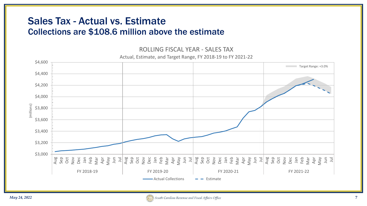#### Sales Tax - Actual vs. Estimate Collections are \$108.6 million above the estimate

ROLLING FISCAL YEAR - SALES TAX

Actual, Estimate, and Target Range, FY 2018-19 to FY 2021-22



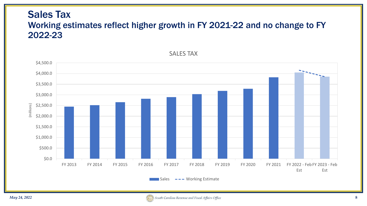#### Sales Tax Working estimates reflect higher growth in FY 2021-22 and no change to FY 2022-23



SALES TAX

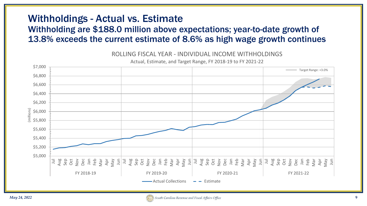## Withholdings - Actual vs. Estimate

#### Withholding are \$188.0 million above expectations; year-to-date growth of 13.8% exceeds the current estimate of 8.6% as high wage growth continues



ROLLING FISCAL YEAR - INDIVIDUAL INCOME WITHHOLDINGS

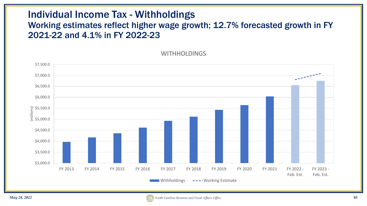#### Individual Income Tax - Withholdings

#### Working estimates reflect higher wage growth; 12.7% forecasted growth in FY 2021-22 and 4.1% in FY 2022-23

WITHHOLDINGS



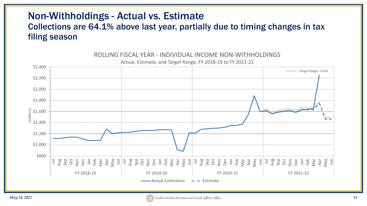#### Non-Withholdings - Actual vs. Estimate Collections are 64.1% above last year, partially due to timing changes in tax filing season



ROLLING FISCAL YEAR - INDIVIDUAL INCOME NON-WITHHOLDINGS

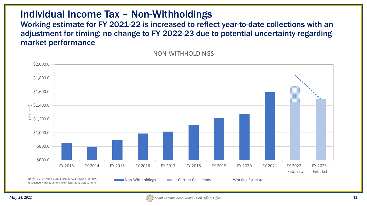#### Individual Income Tax – Non-Withholdings

Working estimate for FY 2021-22 is increased to reflect year-to-date collections with an adjustment for timing; no change to FY 2022-23 due to potential uncertainty regarding market performance

NON-WITHHOLDINGS



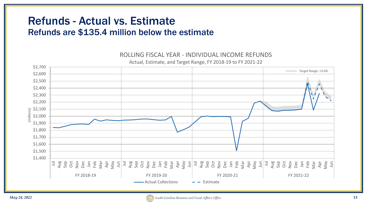## Refunds - Actual vs. Estimate Refunds are \$135.4 million below the estimate

#### \$1,400 \$1,500 \$1,600 \$1,700 \$1,800 \$1,900 \$2,000  $\begin{array}{c}\n\mathbf{r}\n\mathbf{s} \\
\mathbf{r}\n\end{array}$  \$2,000 \$2,200 \$2,300 \$2,400 \$2,500 \$2,600 \$2,700 Jul Aug Sep Oct Nov Dec Jan Feb Mar Apr May Jun Jul Aug Sep Oct Nov Dec Jan Feb Mar Apr May Jun Jul Aug Sep Oct Nov Dec Jan Feb Mar Apr May Jun Jul Aug Sep Oct Nov Dec Jan Feb Mar Apr May Jun FY 2018-19 FY 2019-20 FY 2020-21 FY 2021-22  $-\text{Actual Collections} \rightarrow -\text{Estimate}$ Target Range: +3.0%

#### ROLLING FISCAL YEAR - INDIVIDUAL INCOME REFUNDS Actual, Estimate, and Target Range, FY 2018-19 to FY 2021-22

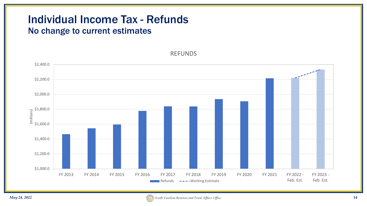# Individual Income Tax - Refunds

#### No change to current estimates

REFUNDS



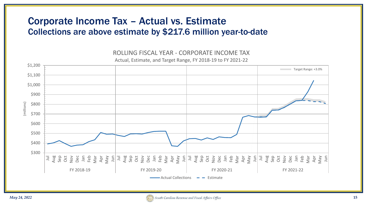#### Corporate Income Tax – Actual vs. Estimate Collections are above estimate by \$217.6 million year-to-date



ROLLING FISCAL YEAR - CORPORATE INCOME TAX Actual, Estimate, and Target Range, FY 2018-19 to FY 2021-22

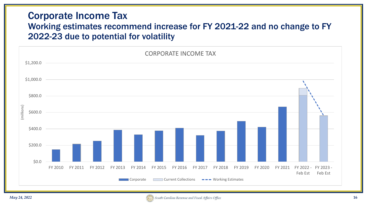#### Corporate Income Tax Working estimates recommend increase for FY 2021-22 and no change to FY 2022-23 due to potential for volatility



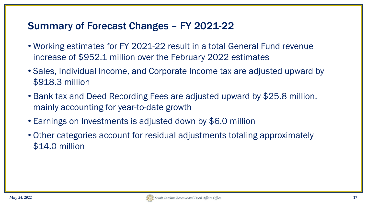## Summary of Forecast Changes – FY 2021-22

- Working estimates for FY 2021-22 result in a total General Fund revenue increase of \$952.1 million over the February 2022 estimates
- Sales, Individual Income, and Corporate Income tax are adjusted upward by \$918.3 million
- Bank tax and Deed Recording Fees are adjusted upward by \$25.8 million, mainly accounting for year-to-date growth
- Earnings on Investments is adjusted down by \$6.0 million
- Other categories account for residual adjustments totaling approximately \$14.0 million

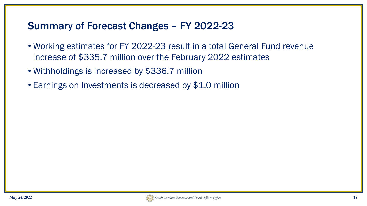## Summary of Forecast Changes – FY 2022-23

- Working estimates for FY 2022-23 result in a total General Fund revenue increase of \$335.7 million over the February 2022 estimates
- Withholdings is increased by \$336.7 million
- Earnings on Investments is decreased by \$1.0 million

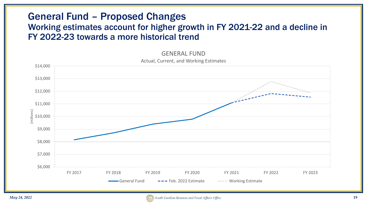#### General Fund – Proposed Changes Working estimates account for higher growth in FY 2021-22 and a decline in FY 2022-23 towards a more historical trend

\$6,000 \$7,000 \$8,000 \$9,000 \$10,000 \$11,000 \$12,000 \$13,000 \$14,000 FY 2017 FY 2018 FY 2019 FY 2020 FY 2021 FY 2022 FY 2023 (millions) General Fund Fund Feb. 2022 Estimate Fermit Working Estimate

#### GENERAL FUND Actual, Current, and Working Estimates

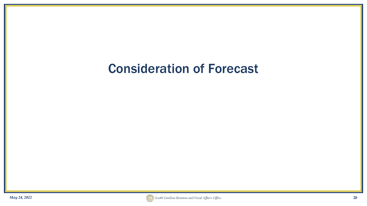# Consideration of Forecast

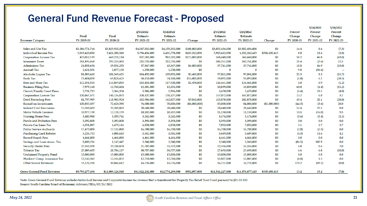## General Fund Revenue Forecast - Proposed

|                                   |                 |                  |                  |                  |               |                  |                  |               |                | 5/24/2022  | 5/24/2022  |
|-----------------------------------|-----------------|------------------|------------------|------------------|---------------|------------------|------------------|---------------|----------------|------------|------------|
|                                   |                 |                  | 2/15/2022        | 5/24/2022        |               | 2/15/2022        | 5/24/2022        |               | <b>Percent</b> | Percent    | Percent    |
|                                   | Final           | <b>Final</b>     | <b>Estimate</b>  | <b>Estimate</b>  |               | <b>Estimate</b>  | <b>Estimate</b>  |               | Change         | Change     | Change     |
| <b>Revenue Category</b>           | FY 2019-20      | FY 2020-21       | FY 2021-22       | FY 2021-22       | Change        | FY 2022-23       | FY 2022-23       | Change        | FY 2020-21     | FY 2021-22 | FY 2022-23 |
|                                   |                 |                  |                  |                  |               |                  |                  |               |                |            |            |
| Sales and Use Tax                 | \$3,286,771,744 | \$3,825,920,335  | \$4,047,332,000  | \$4,155,332,000  | \$108,000,000 | \$3,852,456,000  | \$3,852,456,000  | \$0           | 16.4           | 8.6        | (7.3)      |
| <b>Individual Income Tax</b>      | 5,019,420,030   | 5,421,280,543    | 5,796,456,000    | 6,431,778,000    | \$635,322,000 | 5,915,612,000    | 6,252,262,415    | \$336,650,415 | 8.0            | 18.6       | (2.8)      |
| Corporation Income Tax            | 423,052,193     | 669,221,114      | 807,582,000      | 982,582,000      | \$175,000,000 | 560,448,000      | 560,448,000      | \$0           | 58.2           | 46.8       | (43.0)     |
| <b>Insurance Taxes</b>            | 241,496,468     | 293,235,485      | 282,735,000      | 282,735,000      | \$0           | 345,761,000      | 345,761,000      | \$0           | 21.4           | (3.6)      | 22.3       |
| <b>Admissions Tax</b>             | 24,858,654      | 29,531,233       | 37,367,000       | 43,367,000       | \$6,000,000   | 37,741,000       | 37,741,000       | \$0           | 18.8           | 46.9       | (13.0)     |
| <b>Aircraft Tax</b>               | 2,621,301       | 2,877,150        | 1,250,000        | 1,250,000        | \$0           | 0                | $\bf{0}$         | \$0           | 9.8            | (56.6)     | $\sim$     |
| Alcoholic Liquor Tax              | 81,089,410      | 101,569,635      | 104,492,000      | 109,892,000      | \$5,400,000   | 97,061,000       | 97,061,000       | \$0           | 25.3           | 8.2        | (11.7)     |
| <b>Bank Tax</b>                   | 73,484,038      | 69,828,425       | 58,110,000       | 74,110,000       | \$16,000,000  | 59,092,000       | 59,092,000       | \$0           | (5.0)          | 6.1        | (20.3)     |
| Beer and Wine Tax                 | 112,351,535     | 116,859,053      | 115,434,000      | 117,928,000      | \$2,494,000   | 116,461,000      | 116,461,000      | \$0           | 4.0            | 0.9        | (1.2)      |
| <b>Business Filing Fees</b>       | 7,979,168       | 12,763,604       | 12,201,000       | 12,201,000       | \$0           | 10,839,000       | 10,839,000       | \$0           | 60.0           | (4.4)      | (11.2)     |
| Circuit/Family Court Fines        | 5,731,715       | 5,366,354        | 5,906,000        | 5,906,000        | \$0           | 5,670,000        | 5,670,000        | \$0           | (6.4)          | 10.1       | (4.0)      |
| <b>Corporation License Tax</b>    | 130,867,571     | 148,136,873      | 158,137,000      | 158,137,000      | \$0           | 167,072,000      | 167,072,000      | \$0           | 13.2           | 6.8        | 5.7        |
| <b>Deed Recording Fees</b>        | 81,757,989      | 118,902,924      | 132,986,000      | 142,827,000      | \$9,841,000   | 102,878,000      | 102,878,000      | \$0           | 45.4           | 20.1       | (28.0)     |
| <b>Earned on Investments</b>      | 130,855,337     | 72,623,590       | 76,000,000       | 70,000,000       | (\$6,000,000) | 85,000,000       | 84,000,000       | (\$1,000,000) | (44.5)         | (3.6)      | 20.0       |
| <b>Indirect Cost Recoveries</b>   | 15,269,683      | 23,269,863       | 28,640,000       | 28,640,000       | \$0           | 28,640,000       | 28,640,000       | \$0           | 52.4           | 23.1       | 0.0        |
| <b>Motor Vehicle Licenses</b>     | 10,977,190      | 12,128,159       | 10,182,000       | 10,182,000       | \$0           | 11,150,000       | 11,150,000       | \$0           | 10.5           | (16.0)     | 9.5        |
| <b>Nursing Home Fees</b>          | 3,480,988       | 3,355,741        | 3,242,000        | 3,242,000        | \$0           | 3,174,000        | 3,174,000        | \$0           | (3.6)          | (3.4)      | (2.1)      |
| Parole and Probation Fees         | 3,392,808       | 3,392,808        | 3,393,000        | 3,393,000        | \$0           | 3,393,000        | 3,393,000        | \$0           | 0.0            | 0.0        | 0.0        |
| <b>Private Car Lines Tax</b>      | 6,351,887       | 6,673,116        | 6,850,000        | 6,850,000        | \$0           | 7,032,000        | 7,032,000        | \$0           | 5.1            | 2.7        | 2.7        |
| <b>Public Service Authority</b>   | 17,479,000      | 17,135,000       | 16,700,000       | 16,700,000       | \$0           | 16,700,000       | 16,700,000       | \$0           | (2.0)          | (2.5)      | 0.0        |
| <b>Purchasing Card Rebates</b>    | 3,226,732       | 3,088,613        | 3,541,000        | 3,541,000        | \$0           | 3,689,000        | 3,689,000        | \$0           | (4.3)          | 14.6       | 4.2        |
| <b>Record Search Fees</b>         | 4,461,000       | 4,461,000        | 4,461,000        | 4,461,000        | \$0           | 4,461,000        | 4,461,000        | \$0           | 0.0            | 0.0        | 0.0        |
| Savings and Loan Assoc. Tax       | 8,489,236       | 1,147,447        | 2,340,000        | 2,340,000        | \$0           | 2,340,000        | 2,340,000        | \$0           | (86.5)         | 103.9      | 0.0        |
| <b>Security Dealer Fees</b>       | 27,533,590      | 29,188,874       | 31,702,000       | 31,702,000       | \$0           | 32,336,000       | 32,336,000       | \$0           | 6.0            | 8.6        | 2.0        |
| <b>Tobacco Tax</b>                | 27,009,655      | 28,786,137       | 30,757,000       | 30,757,000       | \$0           | 27,693,000       | 27,693,000       | \$0           | 6.6            | 6.8        | (10.0)     |
| <b>Unclaimed Property Fund</b>    | 15,000,000      | 15,000,000       | 15,000,000       | 15,000,000       | \$0           | 15,000,000       | 15,000,000       | \$0           | 0.0            | 0.0        | 0.0        |
| Workers' Comp. Insurance Tax      | 13,142,342      | 12,516,852       | 12,710,000       | 12,710,000       | \$0           | 12,807,000       | 12,807,000       | \$0           | (4.8)          | 1.5        | 0.8        |
| <b>Other Source Revenues</b>      | 15,126,230      | 40,866,612       | 16,726,000       | 16,726,000       | \$0           | 16,721,000       | 16,721,000       | \$0           | 170.2          | (59.1)     | (0.0)      |
| <b>Gross General Fund Revenue</b> | \$9,793,277,494 | \$11,089,126,540 | \$11,822,232,000 | \$12,774,289,000 | \$952,057,000 | \$11,541,227,000 | \$11,876,877,415 | \$335,650,415 | 13.2           | 15.2       | (7.0)      |

Note: Gross General Fund Revenue includes Individual Income and Corporate Income tax revenue that is transferred for Property Tax Relief Trust Fund pursuant to §11-11-150.

Source: South Carolina Board of Economic Advisors/BEA/05/24/2022

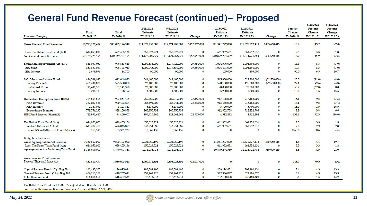## General Fund Revenue Forecast (continued)– Proposed

|                                         | Final           | Final            | 2/15/2022<br>Estimate | 5/24/2022<br><b>Estimate</b> |               | 2/15/2022<br><b>Estimate</b> | 5/24/2022<br><b>Estimate</b> |               | Percent<br>Change | 5/29/2022<br>Percent<br>Change | 5/24/2022<br>Percent<br>Change |
|-----------------------------------------|-----------------|------------------|-----------------------|------------------------------|---------------|------------------------------|------------------------------|---------------|-------------------|--------------------------------|--------------------------------|
| <b>Revenue Category</b>                 | FY 2019-20      | FY 2020-21       | FY 2021-22            | FY 2021-22                   | Change        | FY 2022-23                   | FY 2022-23                   | Change        | FY 2020-21        | FY 2021-22                     | FY 2022-23                     |
| Gross General Fund Revenue              | \$9,793,277,494 | \$11,089,126,540 | \$11,822,232,000      | \$12,774,289,000             | \$952,057,000 | \$11,541,227,000             | \$11,876,877,415             | \$335,650,415 | 13.2              | 15.2                           | (7.0)                          |
| Less: Tax Relief Trust Fund (Act)       | 614,053,000     | 629,405,136      | 650,023,221           | 650,023,221                  | $\bf{0}$      | 661,952,631                  | 661,952,631                  | $\Omega$      | 2.5               | 3.3                            | 1.8                            |
| Net General Fund Revenue                | \$9,179,224,494 | \$10,459,721,404 | \$11,172,208,779      | \$12,124,265,779             | 952,057,000   | \$10,879,274,369             | \$11,214,924,784             | 335,650,415   | 13.9              | 15.9                           | (7.5)                          |
| <b>Education Improvement Act (EIA)</b>  | 863,037,030     | 996,833,645      | 1,050,336,000         | 1,079,920,000                | 29,584,000    | 1,004,596,000                | 1,004,596,000                | $\bf{0}$      | 15.5              | 8.3                            | (7.0)                          |
| <b>EIA</b> Fund                         | 861, 357, 054   | 996,748,940      | 1,050,246,000         | 1,079,830,000                | 29,584,000    | 1,004,491,000                | 1,004,491,000                | $\Omega$      | 15.7              | 8.3                            | (7.0)                          |
| <b>EIA</b> Interest                     | 1,679,976       | 84,705           | 90,000                | 90,000                       | 0             | 105,000                      | 105,000                      | $\Omega$      | (95.0)            | 6.3                            | 16.7                           |
| <b>S.C. Education Lottery Fund</b>      | 496,599,922     | 612,069,873      | 544,600,000           | 544,600,000                  | 0             | 545,300,000                  | 522,800,000                  | (22,500,000)  | 23.3              | (11.0)                         | (4.0)                          |
| Lottery Proceeds                        | 471,400,000     | 575,500,000      | 520,100,000           | 520,100,000                  | $\bf{0}$      | 520,100,000                  | 497,600,000                  | (22,500,000)  | 22.1              | (9.6)                          | (4.3)                          |
| <b>Unclaimed Prizes</b>                 | 21,401,503      | 32,141,376       | 20,000,000            | 20,000,000                   | 0             | 20,000,000                   | 20,000,000                   | $\Omega$      | 50.2              | (37.8)                         | 0.0                            |
| Lottery Interest                        | 3,798,419       | 4,428,497        | 4,500,000             | 4,500,000                    | 0             | 5,200,000                    | 5,200,000                    | $\bf{0}$      | 16.6              | 1.6                            | 15.6                           |
| Homestead Exemption Fund (HEX)          | 784,804,568     | 903,551,465      | 966,666,000           | 989,219,000                  | 22,553,000    | 917,165,000                  | 917,165,000                  | $\mathbf{0}$  | 15.1              | 9.5                            | (7.3)                          |
| <b>HEX</b> Revenue                      | 782,037,516     | 900,423,624      | 963,491,000           | 986,044,000                  | 22,553,000    | 913,465,000                  | 913,465,000                  | $\mathbf{0}$  | 15.1              | 9.5                            | (7.4)                          |
| <b>HEX</b> Interest                     | 2,767,052       | 3,127,841        | 3,175,000             | 3,175,000                    | $\bf{0}$      | 3,700,000                    | 3,700,000                    | $\Omega$      | 13.0              | 1.5                            | 16.5                           |
| <b>Expenditure Estimate</b>             | 798,756,235     | 829,100,858      | 860,950,738           | 860,950,738                  | $\bf{0}$      | 912,852,708                  | 912,852,708                  | $\mathbf{0}$  | 3.8               | 3.8                            | 6.0                            |
| HEX Fund Excess/(Shortfall)             | (13,951,667)    | 74,450,607       | 105,715,262           | 128,268,262                  | 22,553,000    | 4,312,292                    | 4,312,292                    | $\bf{0}$      | 633.6             | 72.3                           | (96.6)                         |
| <b>Tax Relief Trust Fund (Act)</b>      | 614,053,000     | 629,405,136      | 650,023,221           | 650,023,221                  | 0             | 661,952,631                  | 661,952,631                  | $\bf{0}$      | 2.5               | 3.3                            | 1.8                            |
| Revised Estimate/Actual                 | 613,787,410     | 626,043,899      | 643,954,085           | 643,954,085                  | $\bf{0}$      | 661,952,631                  | 661,952,631                  | $\Omega$      | 2.0               | 2.9                            | 2.8                            |
| Excess/(Shortfall) (Excl. Fund Balance) | 265,590         | 3,361,237        | 6,069,136             | 6,069,136                    | $\bf{0}$      | 0                            | $\bf{0}$                     | $\mathbf{0}$  | 1165.6            | 80.6                           | n/a                            |
| <b>Budgetary Estimates</b>              |                 |                  |                       |                              |               |                              |                              |               |                   |                                |                                |
| Gross Appropriation Act Revenue         | 9,330,662,000   | 9,500,103,000    | 9,921,260,199         | 9,921,260,199                | 0             | 11,541,227,000               | 11,876,877,415               | 335,650,415   | 1.8               | 4.4                            | 19.7                           |
| Less: Tax Relief Trust Fund (Act)       | 614,053,000     | 629,405,136      | 650,023,221           | 650,023,221                  | 0             | 661,952,631                  | 661,952,631                  | $\bf{0}$      | 2.5               | 3.3                            | 1.8                            |
| Appropriation Act Excluding Trust Fund  | 8,716,609,000   | 8,870,697,864    | 9,271,236,978         | 9,271,236,978                | 0             | 10,879,274,369               | 11,214,924,784               | 335,650,415   | 1.8               | 4.5                            | 21.0                           |
| Gross General Fund Revenue              |                 |                  |                       |                              |               |                              |                              |               |                   |                                |                                |
| Excess/(Shortfall) from Act             | 462,615,494     | 1,589,023,540    | 1,900,971,801         | 2,853,028,801                | 952,057,000   | 0                            | 0                            | $\bf{0}$      | 243.5             | 79.5                           | n/a                            |
| Capital Reserve Fund (2%) - Beg. Bal.   | 162,485,305     | 176,095,044      | 183,584,490           | 183,584,490                  | 0             | 209,194,431                  | 209,194,431                  | $\bf{0}$      | 8.4               | 4.3                            | 13.9                           |
| General Reserve Fund (5%) - Beg. Bal.   | 406,213,261     | 440,237,611      | 458,961,225           | 458,961,225                  | 0             | 522,986,077                  | 522,986,077                  | $\mathbf{0}$  | 8.4               | 4.3                            | 13.9                           |
| <b>Total Reserve Funds</b>              | 568,698,566     | 616,332,655      | 642,545,715           | 642,545,715                  | 0             | 732,180,508                  | 732,180,508                  | $\mathbf{0}$  | 8.4               | 4.3                            | 13.9                           |

Tax Relief Trust Fund for FY 2021-22 adjusted to reflect Act 39 of 2021

Source: South Carolina Board of Economic Advisors/BEA/05/24/2022



 $.........$ 

 $H = 1.5000$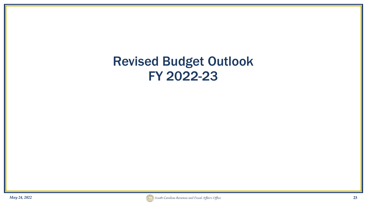# Revised Budget Outlook FY 2022-23

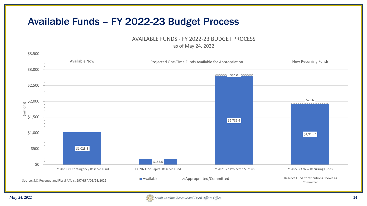## Available Funds – FY 2022-23 Budget Process

AVAILABLE FUNDS - FY 2022-23 BUDGET PROCESS

as of May 24, 2022



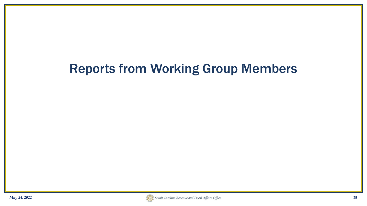# Reports from Working Group Members

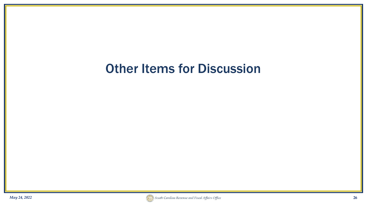# **Other Items for Discussion**

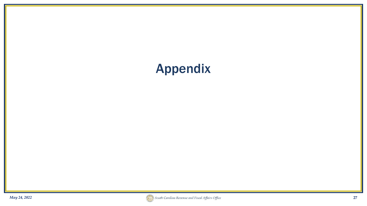# Appendix *May 24, 2022* **27**

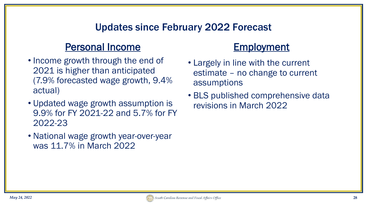## Updates since February 2022 Forecast

#### Personal Income

- Income growth through the end of 2021 is higher than anticipated (7.9% forecasted wage growth, 9.4% actual)
- Updated wage growth assumption is 9.9% for FY 2021-22 and 5.7% for FY 2022-23
- National wage growth year-over-year was 11.7% in March 2022

### **Employment**

- Largely in line with the current estimate – no change to current assumptions
- BLS published comprehensive data revisions in March 2022

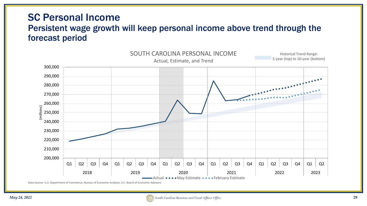#### SC Personal Income Persistent wage growth will keep personal income above trend through the forecast period



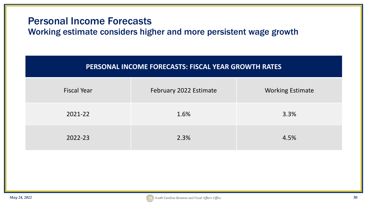#### Personal Income Forecasts

Working estimate considers higher and more persistent wage growth

| <b>PERSONAL INCOME FORECASTS: FISCAL YEAR GROWTH RATES</b> |  |
|------------------------------------------------------------|--|
|------------------------------------------------------------|--|

| <b>Fiscal Year</b> | February 2022 Estimate | <b>Working Estimate</b> |
|--------------------|------------------------|-------------------------|
| 2021-22            | 1.6%                   | 3.3%                    |
| 2022-23            | 2.3%                   | 4.5%                    |

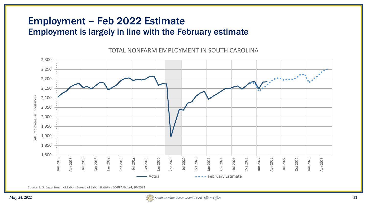#### Employment – Feb 2022 Estimate Employment is largely in line with the February estimate

2,300 2,250 2,200  $\overline{\phantom{a}}$ 2,150 (All Employees, in Thousands) (All Employees, in Thousands) 2,100 2,050 2,000 1,950 1,900 1,850 1,800 Apr 2018 Jul 2018 Oct 2018 Jan 2019 Apr 2019 Jul 2019 Oct 2019 Jan 2020 Apr 2020 Jul 2020 Oct 2020 Jan 2021 Apr 2021 Jul 2021 Oct 2021 Jan 2022 Apr 2022 Jul 2022 Oct 2022 Jan 2023 Apr 2023 Jan 2018 Jan 2018 Oct 2018 Jan 2019 Oct 2019 Jan 2020 Oct 2020 Jan 2021 Oct 2021 Jan 2022 Oct 2022 Jan 2023 ■ Actual **February Estimate** 

TOTAL NONFARM EMPLOYMENT IN SOUTH CAROLINA

Source: U.S. Department of Labor, Bureau of Labor Statistics 60-RFA/bdc/4/20/2022

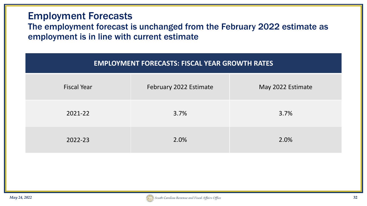#### Employment Forecasts

#### The employment forecast is unchanged from the February 2022 estimate as employment is in line with current estimate

| <b>EMPLOYMENT FORECASTS: FISCAL YEAR GROWTH RATES</b> |                        |                   |  |  |  |  |
|-------------------------------------------------------|------------------------|-------------------|--|--|--|--|
| <b>Fiscal Year</b>                                    | February 2022 Estimate | May 2022 Estimate |  |  |  |  |
| 2021-22                                               | 3.7%                   | 3.7%              |  |  |  |  |
| 2022-23                                               | 2.0%                   | 2.0%              |  |  |  |  |

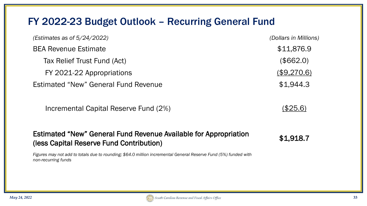### FY 2022-23 Budget Outlook – Recurring General Fund

| (Estimates as of $5/24/2022$ )        | (Dollars in Millions) |
|---------------------------------------|-----------------------|
| <b>BEA Revenue Estimate</b>           | \$11,876.9            |
| Tax Relief Trust Fund (Act)           | (\$662.0)             |
| FY 2021-22 Appropriations             | (\$9,270.6)           |
| Estimated "New" General Fund Revenue  | \$1,944.3             |
| Incremental Capital Reserve Fund (2%) | (\$25.6)              |

#### Estimated "New" General Fund Revenue Available for Appropriation Estimated New General rund Revenue Available for Appropriation<br>(less Capital Reserve Fund Contribution)

*Figures may not add to totals due to rounding; \$64.0 million incremental General Reserve Fund (5%) funded with non-recurring funds*

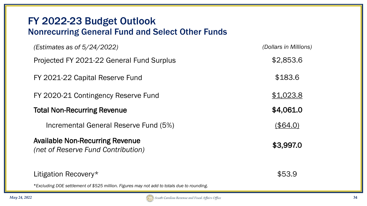#### FY 2022-23 Budget Outlook Nonrecurring General Fund and Select Other Funds

| (Estimates as of $5/24/2022$ )                                                             | (Dollars in Millions) |
|--------------------------------------------------------------------------------------------|-----------------------|
| Projected FY 2021-22 General Fund Surplus                                                  | \$2,853.6             |
| FY 2021-22 Capital Reserve Fund                                                            | \$183.6               |
| FY 2020-21 Contingency Reserve Fund                                                        | \$1,023.8             |
| <b>Total Non-Recurring Revenue</b>                                                         | \$4,061.0             |
| Incremental General Reserve Fund (5%)                                                      | (\$64.0)              |
| <b>Available Non-Recurring Revenue</b><br>(net of Reserve Fund Contribution)               | \$3,997.0             |
| Litigation Recovery*                                                                       | \$53.9                |
| *Excluding DOE settlement of \$525 million. Figures may not add to totals due to rounding. |                       |